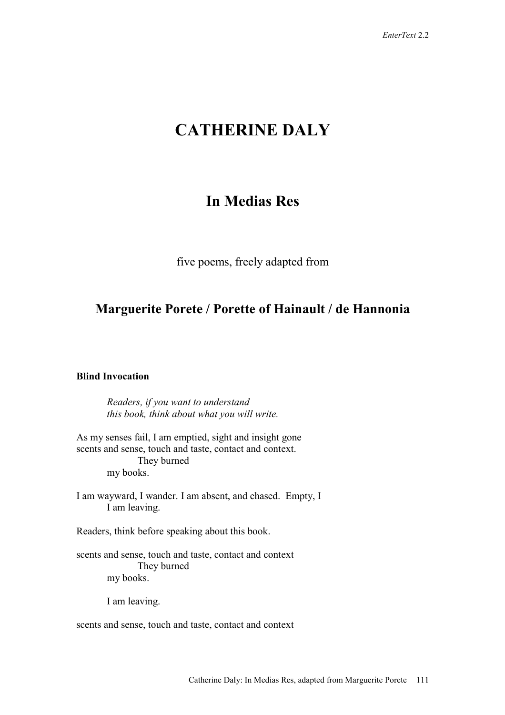# **CATHERINE DALY**

# **In Medias Res**

five poems, freely adapted from

# **Marguerite Porete / Porette of Hainault / de Hannonia**

# **Blind Invocation**

*Readers, if you want to understand this book, think about what you will write.* 

As my senses fail, I am emptied, sight and insight gone scents and sense, touch and taste, contact and context. They burned my books.

I am wayward, I wander. I am absent, and chased. Empty, I I am leaving.

Readers, think before speaking about this book.

scents and sense, touch and taste, contact and context They burned my books.

I am leaving.

scents and sense, touch and taste, contact and context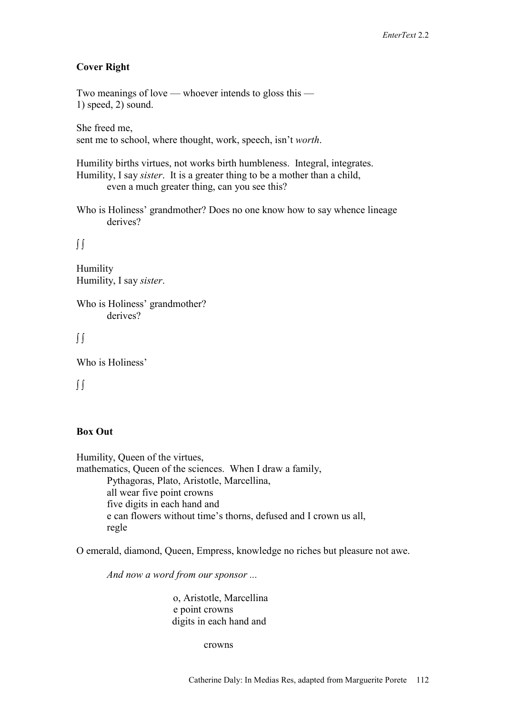#### **Cover Right**

Two meanings of love — whoever intends to gloss this — 1) speed, 2) sound.

She freed me, sent me to school, where thought, work, speech, isn't *worth*.

Humility births virtues, not works birth humbleness. Integral, integrates. Humility, I say *sister*. It is a greater thing to be a mother than a child, even a much greater thing, can you see this?

Who is Holiness' grandmother? Does no one know how to say whence lineage derives?

∫ ∫

Humility Humility, I say *sister*.

Who is Holiness' grandmother? derives?

∫ ∫

Who is Holiness'

∫ ∫

### **Box Out**

Humility, Queen of the virtues, mathematics, Queen of the sciences. When I draw a family, Pythagoras, Plato, Aristotle, Marcellina, all wear five point crowns five digits in each hand and e can flowers without time's thorns, defused and I crown us all, regle

O emerald, diamond, Queen, Empress, knowledge no riches but pleasure not awe.

 *And now a word from our sponsor ...* 

o, Aristotle, Marcellina e point crowns digits in each hand and

crowns